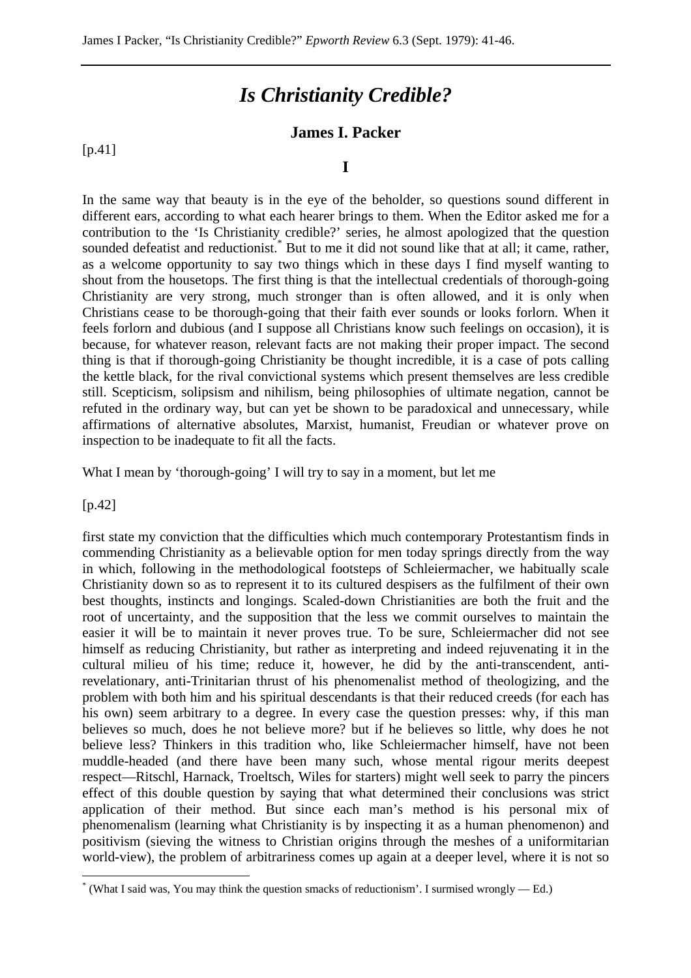# *Is Christianity Credible?*

## **James I. Packer**

[p.41]

#### **I**

In the same way that beauty is in the eye of the beholder, so questions sound different in different ears, according to what each hearer brings to them. When the Editor asked me for a contribution to the 'Is Christianity credible?' series, he almost apologized that the question sounded defeatist and reductionist.<sup>\*</sup> But to me it did not sound like that at all; it came, rather, as a welcome opportunity to say two things which in these days I find myself wanting to shout from the housetops. The first thing is that the intellectual credentials of thorough-going Christianity are very strong, much stronger than is often allowed, and it is only when Christians cease to be thorough-going that their faith ever sounds or looks forlorn. When it feels forlorn and dubious (and I suppose all Christians know such feelings on occasion), it is because, for whatever reason, relevant facts are not making their proper impact. The second thing is that if thorough-going Christianity be thought incredible, it is a case of pots calling the kettle black, for the rival convictional systems which present themselves are less credible still. Scepticism, solipsism and nihilism, being philosophies of ultimate negation, cannot be refuted in the ordinary way, but can yet be shown to be paradoxical and unnecessary, while affirmations of alternative absolutes, Marxist, humanist, Freudian or whatever prove on inspection to be inadequate to fit all the facts.

What I mean by 'thorough-going' I will try to say in a moment, but let me

[p.42]

 $\overline{a}$ 

first state my conviction that the difficulties which much contemporary Protestantism finds in commending Christianity as a believable option for men today springs directly from the way in which, following in the methodological footsteps of Schleiermacher, we habitually scale Christianity down so as to represent it to its cultured despisers as the fulfilment of their own best thoughts, instincts and longings. Scaled-down Christianities are both the fruit and the root of uncertainty, and the supposition that the less we commit ourselves to maintain the easier it will be to maintain it never proves true. To be sure, Schleiermacher did not see himself as reducing Christianity, but rather as interpreting and indeed rejuvenating it in the cultural milieu of his time; reduce it, however, he did by the anti-transcendent, antirevelationary, anti-Trinitarian thrust of his phenomenalist method of theologizing, and the problem with both him and his spiritual descendants is that their reduced creeds (for each has his own) seem arbitrary to a degree. In every case the question presses: why, if this man believes so much, does he not believe more? but if he believes so little, why does he not believe less? Thinkers in this tradition who, like Schleiermacher himself, have not been muddle-headed (and there have been many such, whose mental rigour merits deepest respect—Ritschl, Harnack, Troeltsch, Wiles for starters) might well seek to parry the pincers effect of this double question by saying that what determined their conclusions was strict application of their method. But since each man's method is his personal mix of phenomenalism (learning what Christianity is by inspecting it as a human phenomenon) and positivism (sieving the witness to Christian origins through the meshes of a uniformitarian world-view), the problem of arbitrariness comes up again at a deeper level, where it is not so

<sup>\*</sup> (What I said was, You may think the question smacks of reductionism'. I surmised wrongly — Ed.)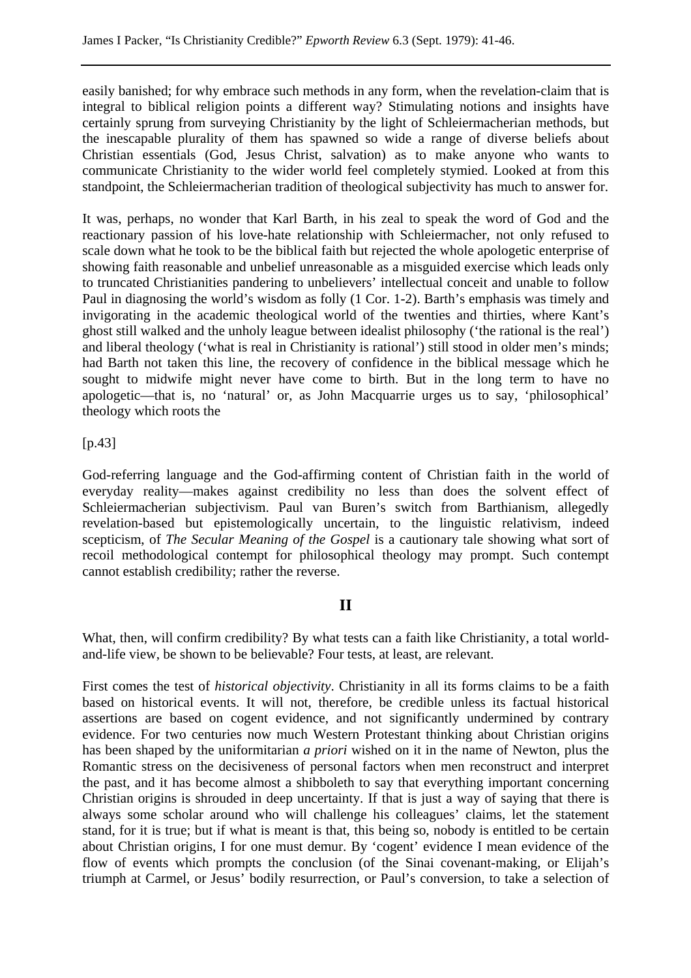easily banished; for why embrace such methods in any form, when the revelation-claim that is integral to biblical religion points a different way? Stimulating notions and insights have certainly sprung from surveying Christianity by the light of Schleiermacherian methods, but the inescapable plurality of them has spawned so wide a range of diverse beliefs about Christian essentials (God, Jesus Christ, salvation) as to make anyone who wants to communicate Christianity to the wider world feel completely stymied. Looked at from this standpoint, the Schleiermacherian tradition of theological subjectivity has much to answer for.

It was, perhaps, no wonder that Karl Barth, in his zeal to speak the word of God and the reactionary passion of his love-hate relationship with Schleiermacher, not only refused to scale down what he took to be the biblical faith but rejected the whole apologetic enterprise of showing faith reasonable and unbelief unreasonable as a misguided exercise which leads only to truncated Christianities pandering to unbelievers' intellectual conceit and unable to follow Paul in diagnosing the world's wisdom as folly (1 Cor. 1-2). Barth's emphasis was timely and invigorating in the academic theological world of the twenties and thirties, where Kant's ghost still walked and the unholy league between idealist philosophy ('the rational is the real') and liberal theology ('what is real in Christianity is rational') still stood in older men's minds; had Barth not taken this line, the recovery of confidence in the biblical message which he sought to midwife might never have come to birth. But in the long term to have no apologetic—that is, no 'natural' or, as John Macquarrie urges us to say, 'philosophical' theology which roots the

### [p.43]

God-referring language and the God-affirming content of Christian faith in the world of everyday reality—makes against credibility no less than does the solvent effect of Schleiermacherian subjectivism. Paul van Buren's switch from Barthianism, allegedly revelation-based but epistemologically uncertain, to the linguistic relativism, indeed scepticism, of *The Secular Meaning of the Gospel* is a cautionary tale showing what sort of recoil methodological contempt for philosophical theology may prompt. Such contempt cannot establish credibility; rather the reverse.

## **II**

What, then, will confirm credibility? By what tests can a faith like Christianity, a total worldand-life view, be shown to be believable? Four tests, at least, are relevant.

First comes the test of *historical objectivity*. Christianity in all its forms claims to be a faith based on historical events. It will not, therefore, be credible unless its factual historical assertions are based on cogent evidence, and not significantly undermined by contrary evidence. For two centuries now much Western Protestant thinking about Christian origins has been shaped by the uniformitarian *a priori* wished on it in the name of Newton, plus the Romantic stress on the decisiveness of personal factors when men reconstruct and interpret the past, and it has become almost a shibboleth to say that everything important concerning Christian origins is shrouded in deep uncertainty. If that is just a way of saying that there is always some scholar around who will challenge his colleagues' claims, let the statement stand, for it is true; but if what is meant is that, this being so, nobody is entitled to be certain about Christian origins, I for one must demur. By 'cogent' evidence I mean evidence of the flow of events which prompts the conclusion (of the Sinai covenant-making, or Elijah's triumph at Carmel, or Jesus' bodily resurrection, or Paul's conversion, to take a selection of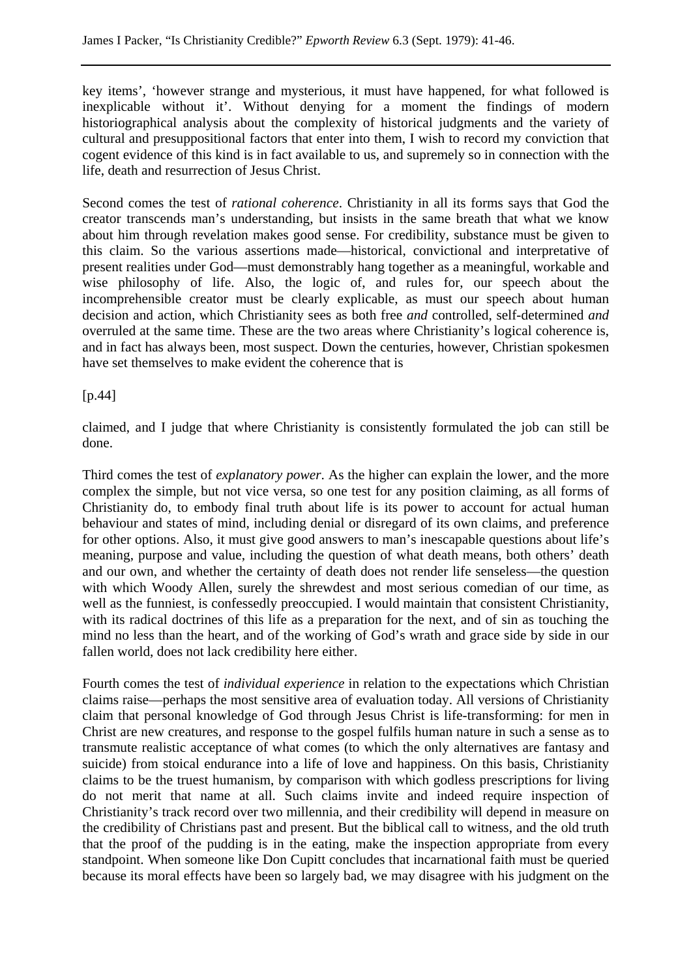key items', 'however strange and mysterious, it must have happened, for what followed is inexplicable without it'. Without denying for a moment the findings of modern historiographical analysis about the complexity of historical judgments and the variety of cultural and presuppositional factors that enter into them, I wish to record my conviction that cogent evidence of this kind is in fact available to us, and supremely so in connection with the life, death and resurrection of Jesus Christ.

Second comes the test of *rational coherence*. Christianity in all its forms says that God the creator transcends man's understanding, but insists in the same breath that what we know about him through revelation makes good sense. For credibility, substance must be given to this claim. So the various assertions made—historical, convictional and interpretative of present realities under God—must demonstrably hang together as a meaningful, workable and wise philosophy of life. Also, the logic of, and rules for, our speech about the incomprehensible creator must be clearly explicable, as must our speech about human decision and action, which Christianity sees as both free *and* controlled, self-determined *and* overruled at the same time. These are the two areas where Christianity's logical coherence is, and in fact has always been, most suspect. Down the centuries, however, Christian spokesmen have set themselves to make evident the coherence that is

#### [p.44]

claimed, and I judge that where Christianity is consistently formulated the job can still be done.

Third comes the test of *explanatory power*. As the higher can explain the lower, and the more complex the simple, but not vice versa, so one test for any position claiming, as all forms of Christianity do, to embody final truth about life is its power to account for actual human behaviour and states of mind, including denial or disregard of its own claims, and preference for other options. Also, it must give good answers to man's inescapable questions about life's meaning, purpose and value, including the question of what death means, both others' death and our own, and whether the certainty of death does not render life senseless—the question with which Woody Allen, surely the shrewdest and most serious comedian of our time, as well as the funniest, is confessedly preoccupied. I would maintain that consistent Christianity, with its radical doctrines of this life as a preparation for the next, and of sin as touching the mind no less than the heart, and of the working of God's wrath and grace side by side in our fallen world, does not lack credibility here either.

Fourth comes the test of *individual experience* in relation to the expectations which Christian claims raise—perhaps the most sensitive area of evaluation today. All versions of Christianity claim that personal knowledge of God through Jesus Christ is life-transforming: for men in Christ are new creatures, and response to the gospel fulfils human nature in such a sense as to transmute realistic acceptance of what comes (to which the only alternatives are fantasy and suicide) from stoical endurance into a life of love and happiness. On this basis, Christianity claims to be the truest humanism, by comparison with which godless prescriptions for living do not merit that name at all. Such claims invite and indeed require inspection of Christianity's track record over two millennia, and their credibility will depend in measure on the credibility of Christians past and present. But the biblical call to witness, and the old truth that the proof of the pudding is in the eating, make the inspection appropriate from every standpoint. When someone like Don Cupitt concludes that incarnational faith must be queried because its moral effects have been so largely bad, we may disagree with his judgment on the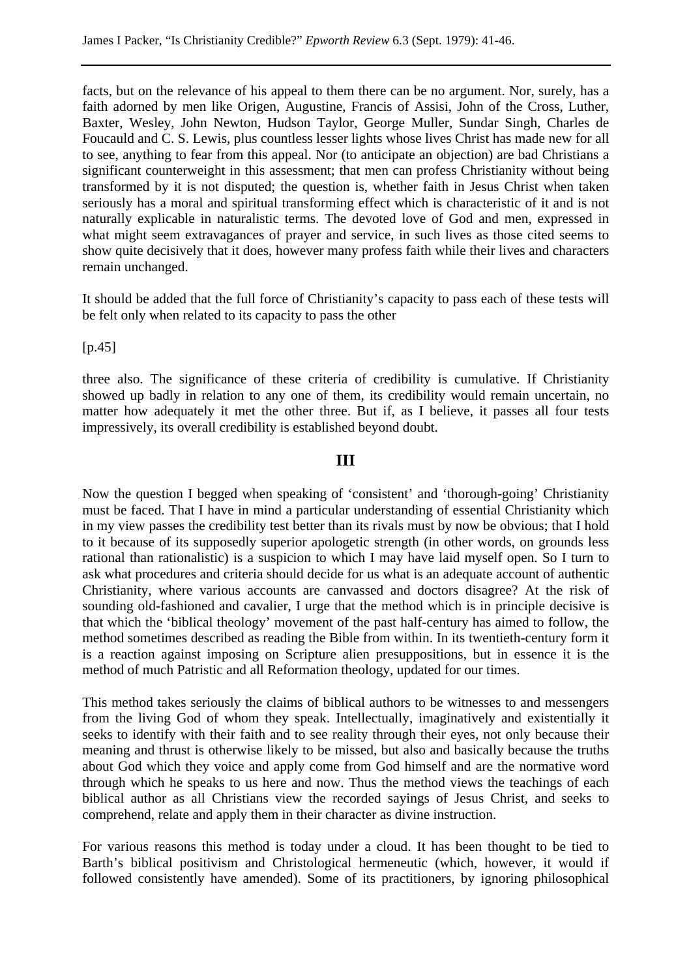facts, but on the relevance of his appeal to them there can be no argument. Nor, surely, has a faith adorned by men like Origen, Augustine, Francis of Assisi, John of the Cross, Luther, Baxter, Wesley, John Newton, Hudson Taylor, George Muller, Sundar Singh, Charles de Foucauld and C. S. Lewis, plus countless lesser lights whose lives Christ has made new for all to see, anything to fear from this appeal. Nor (to anticipate an objection) are bad Christians a significant counterweight in this assessment; that men can profess Christianity without being transformed by it is not disputed; the question is, whether faith in Jesus Christ when taken seriously has a moral and spiritual transforming effect which is characteristic of it and is not naturally explicable in naturalistic terms. The devoted love of God and men, expressed in what might seem extravagances of prayer and service, in such lives as those cited seems to show quite decisively that it does, however many profess faith while their lives and characters remain unchanged.

It should be added that the full force of Christianity's capacity to pass each of these tests will be felt only when related to its capacity to pass the other

[p.45]

three also. The significance of these criteria of credibility is cumulative. If Christianity showed up badly in relation to any one of them, its credibility would remain uncertain, no matter how adequately it met the other three. But if, as I believe, it passes all four tests impressively, its overall credibility is established beyond doubt.

## **III**

Now the question I begged when speaking of 'consistent' and 'thorough-going' Christianity must be faced. That I have in mind a particular understanding of essential Christianity which in my view passes the credibility test better than its rivals must by now be obvious; that I hold to it because of its supposedly superior apologetic strength (in other words, on grounds less rational than rationalistic) is a suspicion to which I may have laid myself open. So I turn to ask what procedures and criteria should decide for us what is an adequate account of authentic Christianity, where various accounts are canvassed and doctors disagree? At the risk of sounding old-fashioned and cavalier, I urge that the method which is in principle decisive is that which the 'biblical theology' movement of the past half-century has aimed to follow, the method sometimes described as reading the Bible from within. In its twentieth-century form it is a reaction against imposing on Scripture alien presuppositions, but in essence it is the method of much Patristic and all Reformation theology, updated for our times.

This method takes seriously the claims of biblical authors to be witnesses to and messengers from the living God of whom they speak. Intellectually, imaginatively and existentially it seeks to identify with their faith and to see reality through their eyes, not only because their meaning and thrust is otherwise likely to be missed, but also and basically because the truths about God which they voice and apply come from God himself and are the normative word through which he speaks to us here and now. Thus the method views the teachings of each biblical author as all Christians view the recorded sayings of Jesus Christ, and seeks to comprehend, relate and apply them in their character as divine instruction.

For various reasons this method is today under a cloud. It has been thought to be tied to Barth's biblical positivism and Christological hermeneutic (which, however, it would if followed consistently have amended). Some of its practitioners, by ignoring philosophical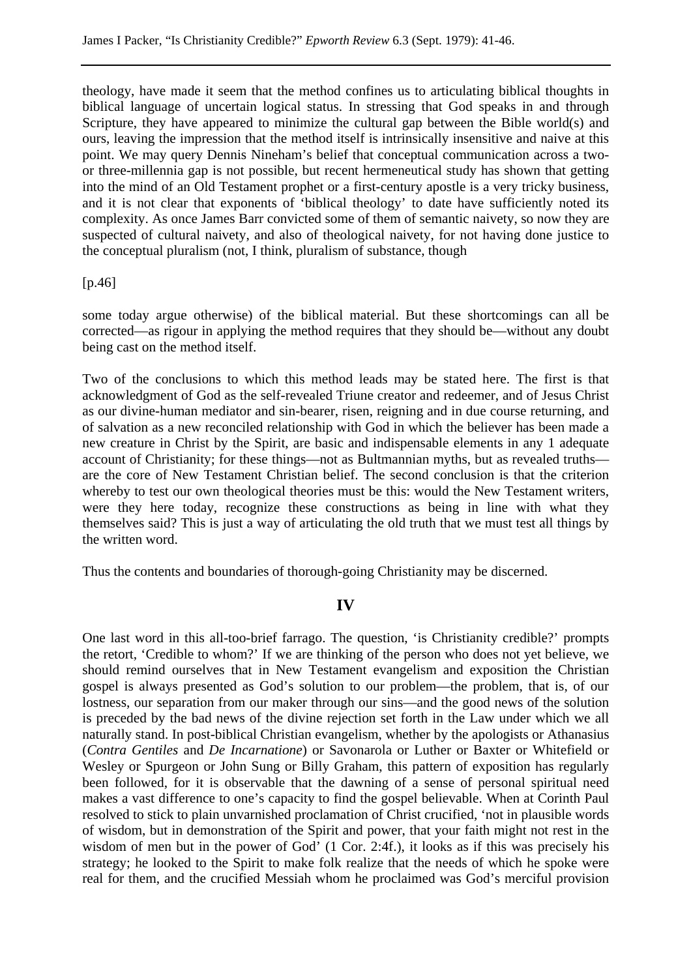theology, have made it seem that the method confines us to articulating biblical thoughts in biblical language of uncertain logical status. In stressing that God speaks in and through Scripture, they have appeared to minimize the cultural gap between the Bible world(s) and ours, leaving the impression that the method itself is intrinsically insensitive and naive at this point. We may query Dennis Nineham's belief that conceptual communication across a twoor three-millennia gap is not possible, but recent hermeneutical study has shown that getting into the mind of an Old Testament prophet or a first-century apostle is a very tricky business, and it is not clear that exponents of 'biblical theology' to date have sufficiently noted its complexity. As once James Barr convicted some of them of semantic naivety, so now they are suspected of cultural naivety, and also of theological naivety, for not having done justice to the conceptual pluralism (not, I think, pluralism of substance, though

[p.46]

some today argue otherwise) of the biblical material. But these shortcomings can all be corrected—as rigour in applying the method requires that they should be—without any doubt being cast on the method itself.

Two of the conclusions to which this method leads may be stated here. The first is that acknowledgment of God as the self-revealed Triune creator and redeemer, and of Jesus Christ as our divine-human mediator and sin-bearer, risen, reigning and in due course returning, and of salvation as a new reconciled relationship with God in which the believer has been made a new creature in Christ by the Spirit, are basic and indispensable elements in any 1 adequate account of Christianity; for these things—not as Bultmannian myths, but as revealed truths are the core of New Testament Christian belief. The second conclusion is that the criterion whereby to test our own theological theories must be this: would the New Testament writers, were they here today, recognize these constructions as being in line with what they themselves said? This is just a way of articulating the old truth that we must test all things by the written word.

Thus the contents and boundaries of thorough-going Christianity may be discerned.

### **IV**

One last word in this all-too-brief farrago. The question, 'is Christianity credible?' prompts the retort, 'Credible to whom?' If we are thinking of the person who does not yet believe, we should remind ourselves that in New Testament evangelism and exposition the Christian gospel is always presented as God's solution to our problem—the problem, that is, of our lostness, our separation from our maker through our sins—and the good news of the solution is preceded by the bad news of the divine rejection set forth in the Law under which we all naturally stand. In post-biblical Christian evangelism, whether by the apologists or Athanasius (*Contra Gentiles* and *De Incarnatione*) or Savonarola or Luther or Baxter or Whitefield or Wesley or Spurgeon or John Sung or Billy Graham, this pattern of exposition has regularly been followed, for it is observable that the dawning of a sense of personal spiritual need makes a vast difference to one's capacity to find the gospel believable. When at Corinth Paul resolved to stick to plain unvarnished proclamation of Christ crucified, 'not in plausible words of wisdom, but in demonstration of the Spirit and power, that your faith might not rest in the wisdom of men but in the power of God' (1 Cor. 2:4f.), it looks as if this was precisely his strategy; he looked to the Spirit to make folk realize that the needs of which he spoke were real for them, and the crucified Messiah whom he proclaimed was God's merciful provision